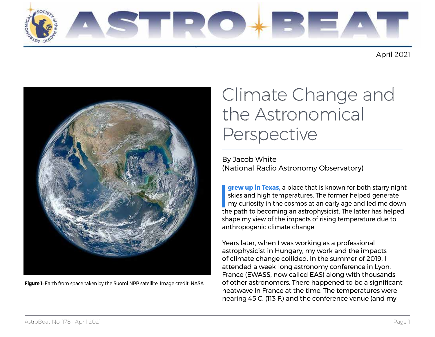

April 2021



**Figure 1:** Earth from space taken by the Suomi NPP satellite. Image credit: [NASA.](https://images.nasa.gov/details-PIA18033)

# Climate Change and the Astronomical Perspective

By Jacob White (National Radio Astronomy Observatory)

**grew up in Texas**, a place that is known for both starry night<br>skies and high temperatures. The former helped generate<br>my curiosity in the cosmos at an early age and led me down<br>the path to becoming an astrophysicist. The **grew up in Texas,** a place that is known for both starry night skies and high temperatures. The former helped generate my curiosity in the cosmos at an early age and led me down shape my view of the impacts of rising temperature due to anthropogenic climate change.

Years later, when I was working as a professional astrophysicist in Hungary, my work and the impacts of climate change collided. In the summer of 2019, I attended a week-long astronomy conference in Lyon, France (EWASS, now called EAS) along with thousands of other astronomers. There happened to be a significant heatwave in France at the time. The temperatures were nearing 45 C. (113 F.) and the conference venue (and my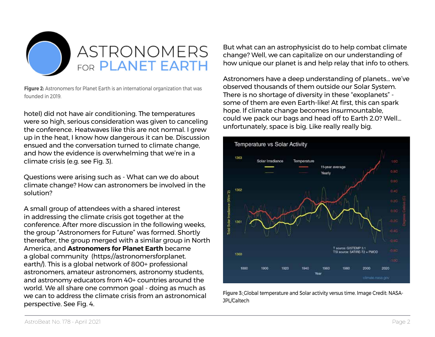

**Figure 2:** Astronomers for Planet Earth is an international organization that was founded in 2019.

hotel) did not have air conditioning. The temperatures were so high, serious consideration was given to canceling the conference. Heatwaves like this are not normal. I grew up in the heat, I know how dangerous it can be. Discussion ensued and the conversation turned to climate change, and how the evidence is overwhelming that we're in a climate crisis (e.g. see Fig. 3).

Questions were arising such as - What can we do about climate change? How can astronomers be involved in the solution?

A small group of attendees with a shared interest in addressing the climate crisis got together at the conference. After more discussion in the following weeks, the group "Astronomers for Future" was formed. Shortly thereafter, the group merged with a similar group in North America, and **Astronomers for Planet Earth** became a global community [\(https://astronomersforplanet.](https://astronomersforplanet.earth/) [earth/\)](https://astronomersforplanet.earth/). This is a global network of 800+ professional astronomers, amateur astronomers, astronomy students, and astronomy educators from 40+ countries around the world. We all share one common goal - doing as much as we can to address the climate crisis from an astronomical perspective. See Fig. 4.

But what can an astrophysicist do to help combat climate change? Well, we can capitalize on our understanding of how unique our planet is and help relay that info to others.

Astronomers have a deep understanding of planets... we've observed thousands of them outside our Solar System. There is no shortage of diversity in these "exoplanets" some of them are even Earth-like! At first, this can spark hope. If climate change becomes insurmountable, could we pack our bags and head off to Earth 2.0? Well… unfortunately, space is big. Like really really big.



**Figure 3:** Global temperature and Solar activity versus time. Image Credit: NASA-JPL/Caltech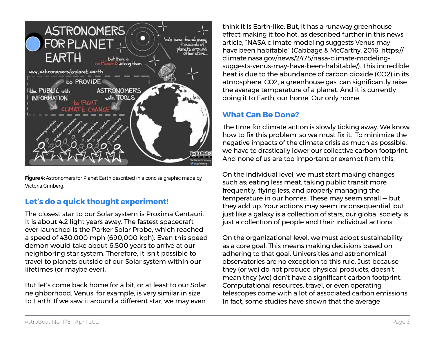

**Figure 4:** Astronomers for Planet Earth described in a concise graphic made by Victoria Grinberg.

## **Let's do a quick thought experiment!**

The closest star to our Solar system is Proxima Centauri. It is about 4.2 light years away. The fastest spacecraft ever launched is the Parker Solar Probe, which reached a speed of 430,000 mph (690,000 kph). Even this speed demon would take about 6,500 years to arrive at our neighboring star system. Therefore, it isn't possible to travel to planets outside of our Solar system within our lifetimes (or maybe ever).

But let's come back home for a bit, or at least to our Solar neighborhood. Venus, for example, is very similar in size to Earth. If we saw it around a different star, we may even

think it is Earth-like. But, it has a runaway greenhouse effect making it too hot, as described further in this news article, "NASA climate modeling suggests Venus may have been habitable" (Cabbage & McCarthy, 2016, [https://](https://climate.nasa.gov/news/2475/nasa-climate-modeling-suggests-venus-may-have-been-habitable/) [climate.nasa.gov/news/2475/nasa-climate-modeling](https://climate.nasa.gov/news/2475/nasa-climate-modeling-suggests-venus-may-have-been-habitable/)[suggests-venus-may-have-been-habitable/\)](https://climate.nasa.gov/news/2475/nasa-climate-modeling-suggests-venus-may-have-been-habitable/). This incredible heat is due to the abundance of carbon dioxide (CO2) in its atmosphere. CO2, a greenhouse gas, can significantly raise the average temperature of a planet. And it is currently doing it to Earth, our home. Our only home.

### **What Can Be Done?**

The time for climate action is slowly ticking away. We know how to fix this problem, so we must fix it. To minimize the negative impacts of the climate crisis as much as possible, we have to drastically lower our collective carbon footprint. And none of us are too important or exempt from this.

On the individual level, we must start making changes such as: eating less meat, taking public transit more frequently, flying less, and properly managing the temperature in our homes. These may seem small — but they add up. Your actions may seem inconsequential, but just like a galaxy is a collection of stars, our global society is just a collection of people and their individual actions.

On the organizational level, we must adopt sustainability as a core goal. This means making decisions based on adhering to that goal. Universities and astronomical observatories are no exception to this rule. Just because they (or we) do not produce physical products, doesn't mean they (we) don't have a significant carbon footprint. Computational resources, travel, or even operating telescopes come with a lot of associated carbon emissions. In fact, some studies have shown that the average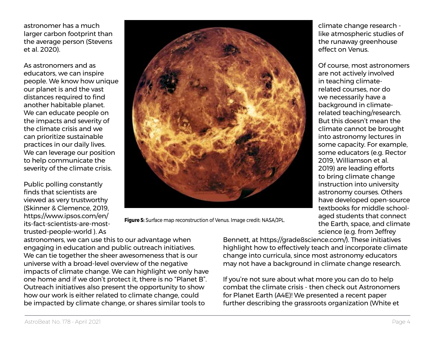astronomer has a much larger carbon footprint than the average person (Stevens et al. 2020).

As astronomers and as educators, we can inspire people. We know how unique our planet is and the vast distances required to find another habitable planet. We can educate people on the impacts and severity of the climate crisis and we can prioritize sustainable practices in our daily lives. We can leverage our position to help communicate the severity of the climate crisis.

Public polling constantly finds that scientists are viewed as very trustworthy (Skinner & Clemence, 2019, [https://www.ipsos.com/en/](https://www.ipsos.com/en/its-fact-scientists-are-most-trusted-people-world) [its-fact-scientists-are-most](https://www.ipsos.com/en/its-fact-scientists-are-most-trusted-people-world)[trusted-people-world](https://www.ipsos.com/en/its-fact-scientists-are-most-trusted-people-world) ). As



**Figure 5:** Surface map reconstruction of Venus. Image credit: [NASA/JPL.](https://images.nasa.gov/details-S91-50688)

climate change research like atmospheric studies of the runaway greenhouse effect on Venus.

Of course, most astronomers are not actively involved in teaching climaterelated courses, nor do we necessarily have a background in climaterelated teaching/research. But this doesn't mean the climate cannot be brought into astronomy lectures in some capacity. For example, some educators (e.g. Rector 2019, Williamson et al. 2019) are leading efforts to bring climate change instruction into university astronomy courses. Others have developed open-source textbooks for middle schoolaged students that connect the Earth, space, and climate science (e.g. from Jeffrey

astronomers, we can use this to our advantage when engaging in education and public outreach initiatives. We can tie together the sheer awesomeness that is our universe with a broad-level overview of the negative impacts of climate change. We can highlight we only have one home and if we don't protect it, there is no "Planet B". Outreach initiatives also present the opportunity to show how our work is either related to climate change, could be impacted by climate change, or shares similar tools to

Bennett, at<https://grade8science.com/>). These initiatives highlight how to effectively teach and incorporate climate change into curricula, since most astronomy educators may not have a background in climate change research.

If you're not sure about what more you can do to help combat the climate crisis - then check out Astronomers for Planet Earth (A4E)! We presented a recent paper further describing the grassroots organization (White et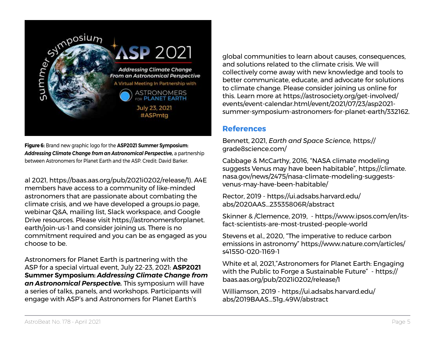

**Figure 6:** Brand new graphic logo for the **ASP2021 Summer Symposium:**  *Addressing Climate Change from an Astronomical Perspective,* a partnership between Astronomers for Planet Earth and the ASP. Credit: David Barker.

al 2021, <https://baas.aas.org/pub/2021i0202/release/1>). A4E members have access to a community of like-minded astronomers that are passionate about combating the climate crisis, and we have developed a [groups.io](http://groups.io) page, webinar Q&A, mailing list, Slack workspace, and Google Drive resources. Please visit [https://astronomersforplanet.](https://astronomersforplanet.earth/join-us-1) [earth/join-us-1](https://astronomersforplanet.earth/join-us-1) and consider joining us. There is no commitment required and you can be as engaged as you choose to be.

Astronomers for Planet Earth is partnering with the ASP for a special virtual event, July 22-23, 2021: **ASP2021 Summer Symposium:** *Addressing Climate Change from an Astronomical Perspective.* This symposium will have a series of talks, panels, and workshops. Participants will engage with ASP's and Astronomers for Planet Earth's

global communities to learn about causes, consequences, and solutions related to the climate crisis. We will collectively come away with new knowledge and tools to better communicate, educate, and advocate for solutions to climate change. Please consider joining us online for this. Learn more at [https://astrosociety.org/get-involved/](https://astrosociety.org/get-involved/events/event-calendar.html/event/2021/07/23/asp2021-summer-symposium-astronomers-for-planet-earth/332162) [events/event-calendar.html/event/2021/07/23/asp2021](https://astrosociety.org/get-involved/events/event-calendar.html/event/2021/07/23/asp2021-summer-symposium-astronomers-for-planet-earth/332162) [summer-symposium-astronomers-for-planet-earth/332162.](https://astrosociety.org/get-involved/events/event-calendar.html/event/2021/07/23/asp2021-summer-symposium-astronomers-for-planet-earth/332162)

#### **References**

Bennett, 2021, *Earth and Space Science,* [https://](https://grade8science.com/) [grade8science.com/](https://grade8science.com/) 

Cabbage & McCarthy, 2016, "NASA climate modeling suggests Venus may have been habitable", [https://climate.](https://climate.nasa.gov/news/2475/nasa-climate-modeling-suggests-venus-may-have-been-habitable/) [nasa.gov/news/2475/nasa-climate-modeling-suggests](https://climate.nasa.gov/news/2475/nasa-climate-modeling-suggests-venus-may-have-been-habitable/)[venus-may-have-been-habitable/](https://climate.nasa.gov/news/2475/nasa-climate-modeling-suggests-venus-may-have-been-habitable/)

Rector, 2019 - [https://ui.adsabs.harvard.edu/](https://ui.adsabs.harvard.edu/abs/2020AAS...23535806R/abstract) [abs/2020AAS...23535806R/abstract](https://ui.adsabs.harvard.edu/abs/2020AAS...23535806R/abstract)

Skinner & /Clemence, 2019, - [https://www.ipsos.com/en/its](https://www.ipsos.com/en/its-fact-scientists-are-most-trusted-people-world)[fact-scientists-are-most-trusted-people-world](https://www.ipsos.com/en/its-fact-scientists-are-most-trusted-people-world)

Stevens et al., 2020, "The imperative to reduce carbon emissions in astronomy" [https://www.nature.com/articles/](https://www.nature.com/articles/s41550-020-1169-1) [s41550-020-1169-1](https://www.nature.com/articles/s41550-020-1169-1)

White et al, 2021,"Astronomers for Planet Earth: Engaging with the Public to Forge a Sustainable Future" - [https://](https://baas.aas.org/pub/2021i0202/release/1) [baas.aas.org/pub/2021i0202/release/1](https://baas.aas.org/pub/2021i0202/release/1)

Williamson, 2019 - [https://ui.adsabs.harvard.edu/](https://ui.adsabs.harvard.edu/abs/2019BAAS...51g..49W/abstract) [abs/2019BAAS...51g..49W/abstract](https://ui.adsabs.harvard.edu/abs/2019BAAS...51g..49W/abstract)